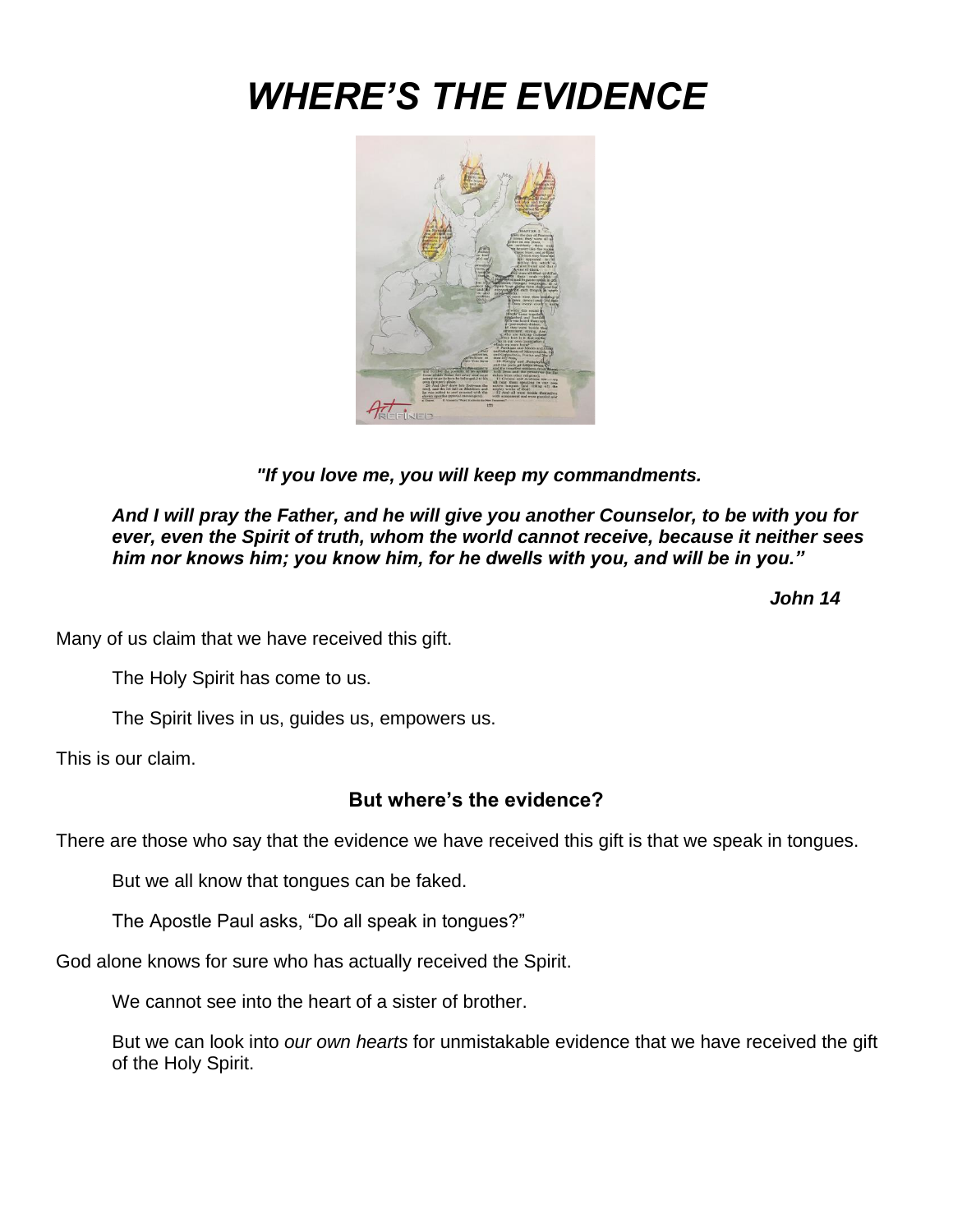# *WHERE'S THE EVIDENCE*



*"If you love me, you will keep my commandments.*

*And I will pray the Father, and he will give you another Counselor, to be with you for ever, even the Spirit of truth, whom the world cannot receive, because it neither sees him nor knows him; you know him, for he dwells with you, and will be in you."*

 *John 14*

Many of us claim that we have received this gift.

The Holy Spirit has come to us.

The Spirit lives in us, guides us, empowers us.

This is our claim.

## **But where's the evidence?**

There are those who say that the evidence we have received this gift is that we speak in tongues.

But we all know that tongues can be faked.

The Apostle Paul asks, "Do all speak in tongues?"

God alone knows for sure who has actually received the Spirit.

We cannot see into the heart of a sister of brother.

But we can look into *our own hearts* for unmistakable evidence that we have received the gift of the Holy Spirit.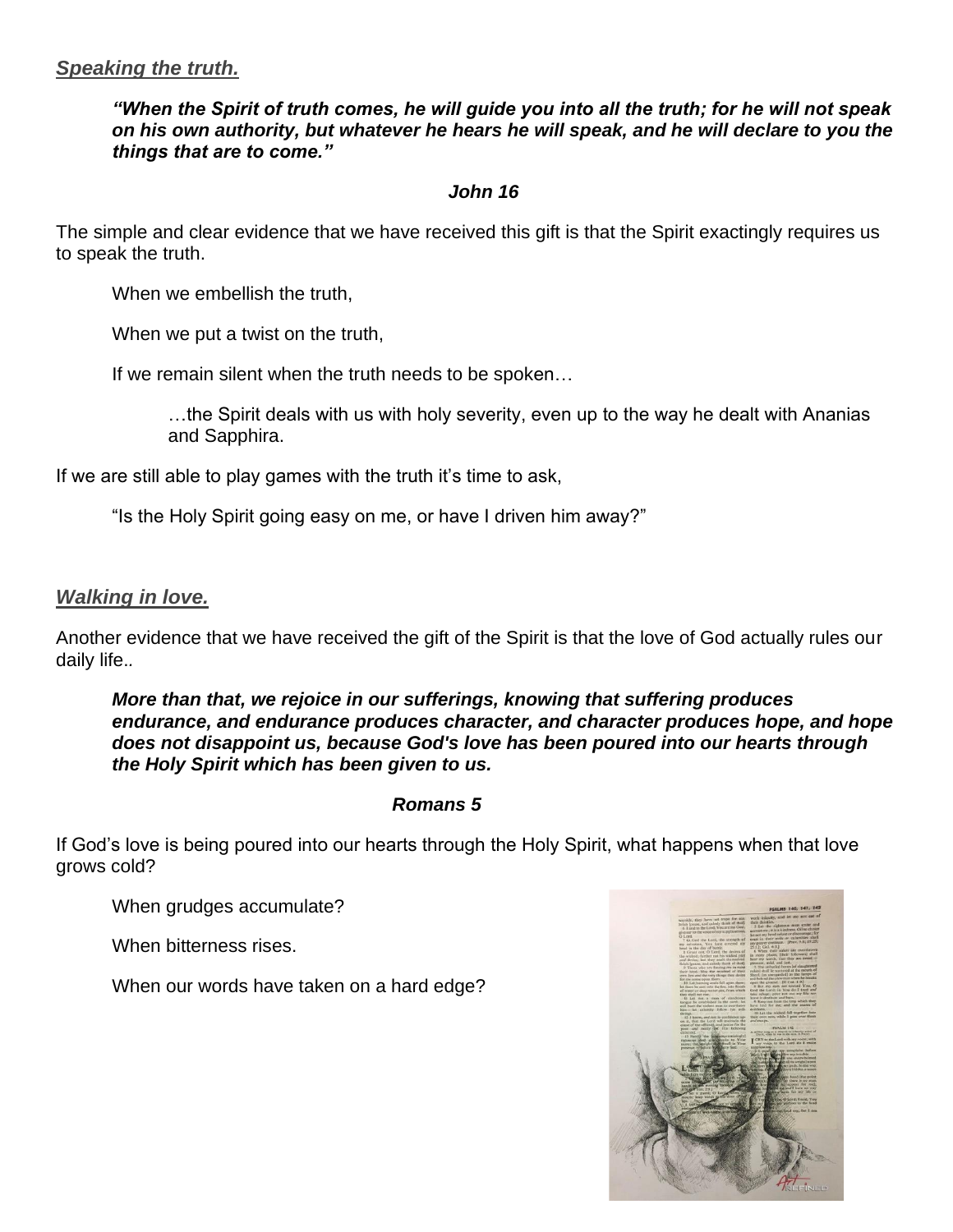## *"When the Spirit of truth comes, he will guide you into all the truth; for he will not speak on his own authority, but whatever he hears he will speak, and he will declare to you the things that are to come."*

# *John 16*

The simple and clear evidence that we have received this gift is that the Spirit exactingly requires us to speak the truth.

When we embellish the truth.

When we put a twist on the truth,

If we remain silent when the truth needs to be spoken…

…the Spirit deals with us with holy severity, even up to the way he dealt with Ananias and Sapphira.

If we are still able to play games with the truth it's time to ask,

"Is the Holy Spirit going easy on me, or have I driven him away?"

## *Walking in love.*

Another evidence that we have received the gift of the Spirit is that the love of God actually rules our daily life.*.*

## *More than that, we rejoice in our sufferings, knowing that suffering produces endurance, and endurance produces character, and character produces hope, and hope does not disappoint us, because God's love has been poured into our hearts through the Holy Spirit which has been given to us.*

#### *Romans 5*

If God's love is being poured into our hearts through the Holy Spirit, what happens when that love grows cold?

When grudges accumulate?

When bitterness rises.

When our words have taken on a hard edge?